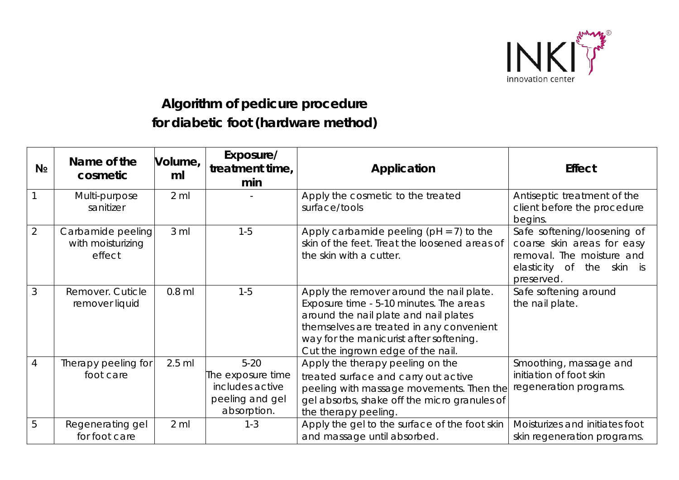

## **Algorithm of pedicure procedure for diabetic foot (hardware method)**

| N <sub>2</sub> | Name of the<br>cosmetic                          | Volume,<br>ml   | Exposure/<br>treatment time,<br>min                                                | Application                                                                                                                                                                                                                                              | <b>Effect</b>                                                                                                                           |
|----------------|--------------------------------------------------|-----------------|------------------------------------------------------------------------------------|----------------------------------------------------------------------------------------------------------------------------------------------------------------------------------------------------------------------------------------------------------|-----------------------------------------------------------------------------------------------------------------------------------------|
|                | Multi-purpose<br>sanitizer                       | $2 \mathrm{ml}$ |                                                                                    | Apply the cosmetic to the treated<br>surface/tools                                                                                                                                                                                                       | Antiseptic treatment of the<br>client before the procedure<br>begins.                                                                   |
| $\overline{2}$ | Carbamide peeling<br>with moisturizing<br>effect | 3 ml            | $1 - 5$                                                                            | Apply carbamide peeling ( $pH = 7$ ) to the<br>skin of the feet. Treat the loosened areas of<br>the skin with a cutter.                                                                                                                                  | Safe softening/loosening of<br>coarse skin areas for easy<br>removal. The moisture and<br>the<br>elasticity of<br>skin is<br>preserved. |
| 3              | Remover. Cuticle<br>remover liquid               | $0.8$ ml        | $1 - 5$                                                                            | Apply the remover around the nail plate.<br>Exposure time - 5-10 minutes. The areas<br>around the nail plate and nail plates<br>themselves are treated in any convenient<br>way for the manicurist after softening.<br>Cut the ingrown edge of the nail. | Safe softening around<br>the nail plate.                                                                                                |
| 4              | Therapy peeling for<br>foot care                 | $2.5$ ml        | $5 - 20$<br>The exposure time<br>includes active<br>peeling and gel<br>absorption. | Apply the therapy peeling on the<br>treated surface and carry out active<br>peeling with massage movements. Then the<br>gel absorbs, shake off the micro granules of<br>the therapy peeling.                                                             | Smoothing, massage and<br>initiation of foot skin<br>regeneration programs.                                                             |
| 5              | Regenerating gel<br>for foot care                | $2 \,$ ml       | $1 - 3$                                                                            | Apply the gel to the surface of the foot skin<br>and massage until absorbed.                                                                                                                                                                             | Moisturizes and initiates foot<br>skin regeneration programs.                                                                           |